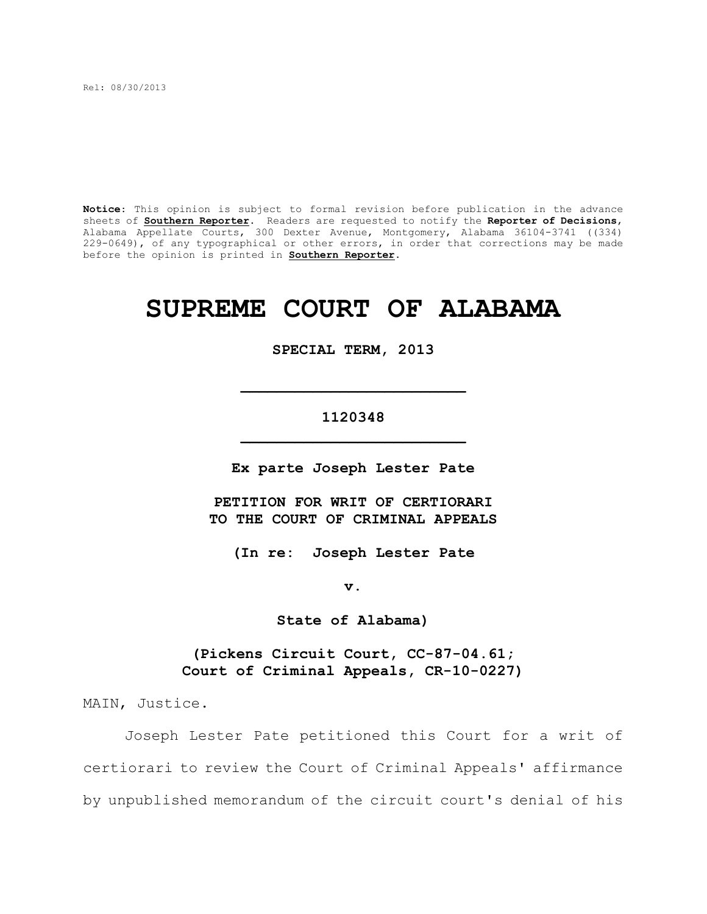Rel: 08/30/2013

**Notice**: This opinion is subject to formal revision before publication in the advance sheets of **Southern Reporter**. Readers are requested to notify the **Reporter of Decisions**, Alabama Appellate Courts, 300 Dexter Avenue, Montgomery, Alabama 36104-3741 ((334) 229-0649), of any typographical or other errors, in order that corrections may be made before the opinion is printed in **Southern Reporter**.

# **SUPREME COURT OF ALABAMA**

#### **SPECIAL TERM, 2013**

# **1120348 \_\_\_\_\_\_\_\_\_\_\_\_\_\_\_\_\_\_\_\_\_\_\_\_\_**

**\_\_\_\_\_\_\_\_\_\_\_\_\_\_\_\_\_\_\_\_\_\_\_\_\_**

**Ex parte Joseph Lester Pate**

**PETITION FOR WRIT OF CERTIORARI TO THE COURT OF CRIMINAL APPEALS**

**(In re: Joseph Lester Pate**

**v.**

**State of Alabama)**

**(Pickens Circuit Court, CC-87-04.61; Court of Criminal Appeals, CR-10-0227)**

MAIN, Justice.

Joseph Lester Pate petitioned this Court for a writ of certiorari to review the Court of Criminal Appeals' affirmance by unpublished memorandum of the circuit court's denial of his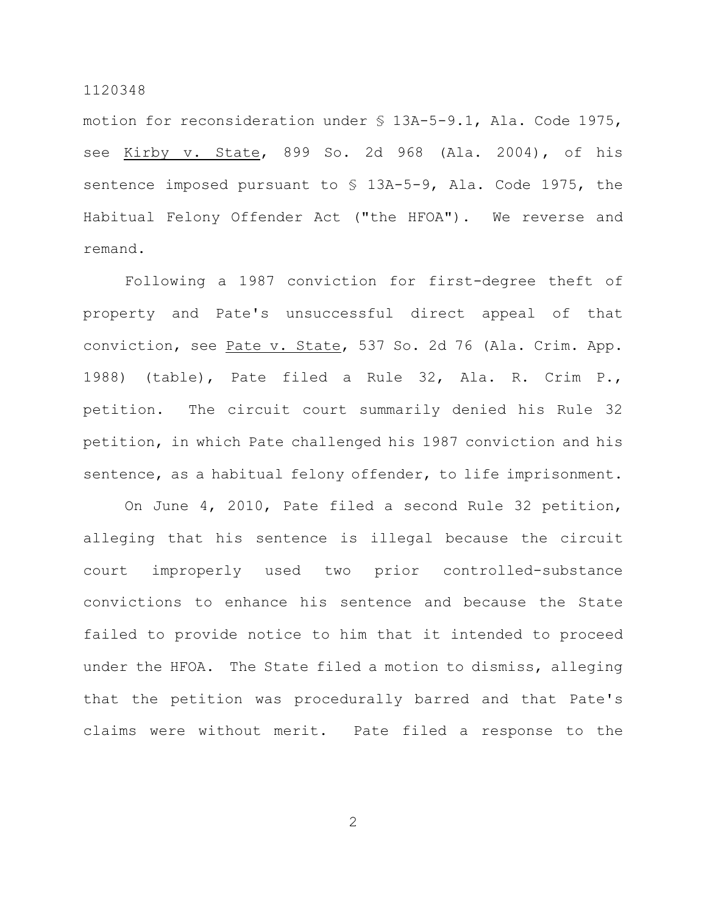motion for reconsideration under § 13A-5-9.1, Ala. Code 1975, see Kirby v. State, 899 So. 2d 968 (Ala. 2004), of his sentence imposed pursuant to § 13A-5-9, Ala. Code 1975, the Habitual Felony Offender Act ("the HFOA"). We reverse and remand.

Following a 1987 conviction for first-degree theft of property and Pate's unsuccessful direct appeal of that conviction, see Pate v. State, 537 So. 2d 76 (Ala. Crim. App. 1988) (table), Pate filed a Rule 32, Ala. R. Crim P., petition. The circuit court summarily denied his Rule 32 petition, in which Pate challenged his 1987 conviction and his sentence, as a habitual felony offender, to life imprisonment.

On June 4, 2010, Pate filed a second Rule 32 petition, alleging that his sentence is illegal because the circuit court improperly used two prior controlled-substance convictions to enhance his sentence and because the State failed to provide notice to him that it intended to proceed under the HFOA. The State filed a motion to dismiss, alleging that the petition was procedurally barred and that Pate's claims were without merit. Pate filed a response to the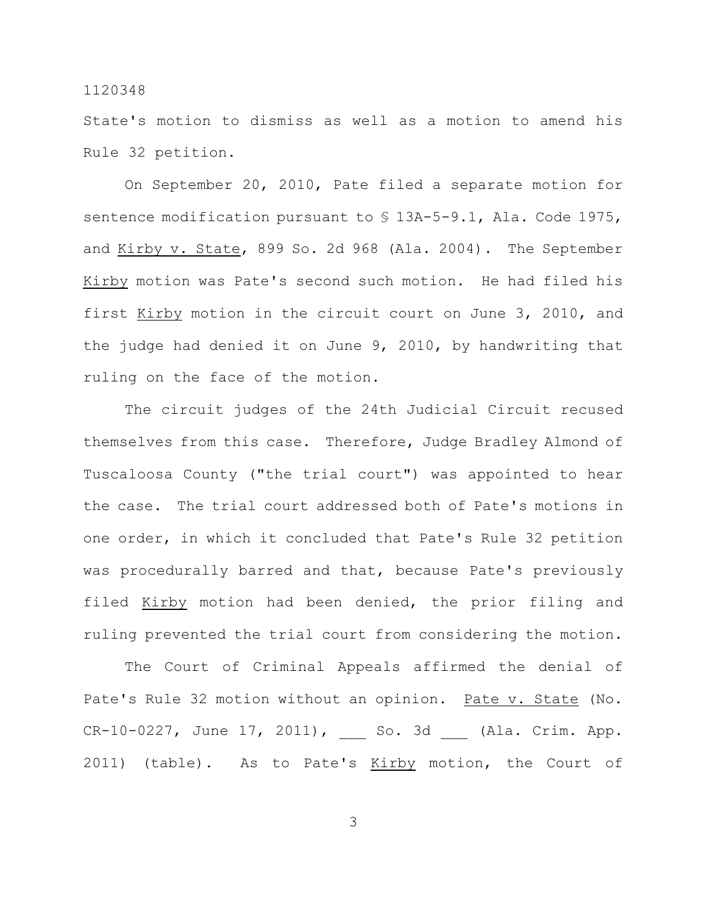State's motion to dismiss as well as a motion to amend his Rule 32 petition.

On September 20, 2010, Pate filed a separate motion for sentence modification pursuant to  $\frac{1}{2}$  13A-5-9.1, Ala. Code 1975, and Kirby v. State, 899 So. 2d 968 (Ala. 2004). The September Kirby motion was Pate's second such motion. He had filed his first Kirby motion in the circuit court on June 3, 2010, and the judge had denied it on June 9, 2010, by handwriting that ruling on the face of the motion.

The circuit judges of the 24th Judicial Circuit recused themselves from this case. Therefore, Judge Bradley Almond of Tuscaloosa County ("the trial court") was appointed to hear the case. The trial court addressed both of Pate's motions in one order, in which it concluded that Pate's Rule 32 petition was procedurally barred and that, because Pate's previously filed Kirby motion had been denied, the prior filing and ruling prevented the trial court from considering the motion.

The Court of Criminal Appeals affirmed the denial of Pate's Rule 32 motion without an opinion. Pate v. State (No. CR-10-0227, June 17, 2011), So. 3d (Ala. Crim. App. 2011) (table). As to Pate's Kirby motion, the Court of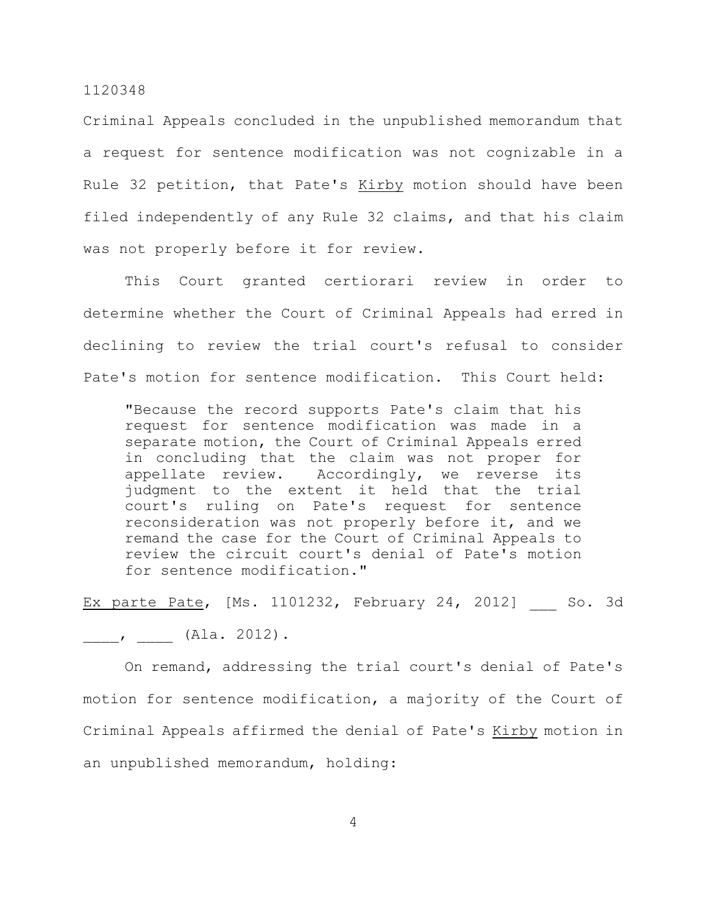Criminal Appeals concluded in the unpublished memorandum that a request for sentence modification was not cognizable in a Rule 32 petition, that Pate's Kirby motion should have been filed independently of any Rule 32 claims, and that his claim was not properly before it for review.

This Court granted certiorari review in order to determine whether the Court of Criminal Appeals had erred in declining to review the trial court's refusal to consider Pate's motion for sentence modification. This Court held:

"Because the record supports Pate's claim that his request for sentence modification was made in a separate motion, the Court of Criminal Appeals erred in concluding that the claim was not proper for appellate review. Accordingly, we reverse its judgment to the extent it held that the trial court's ruling on Pate's request for sentence reconsideration was not properly before it, and we remand the case for the Court of Criminal Appeals to review the circuit court's denial of Pate's motion for sentence modification."

Ex parte Pate, [Ms. 1101232, February 24, 2012] So. 3d

 $\frac{1}{\sqrt{2\pi}}$ ,  $\frac{1}{\sqrt{2\pi}}$  (Ala. 2012).

On remand, addressing the trial court's denial of Pate's motion for sentence modification, a majority of the Court of Criminal Appeals affirmed the denial of Pate's Kirby motion in an unpublished memorandum, holding: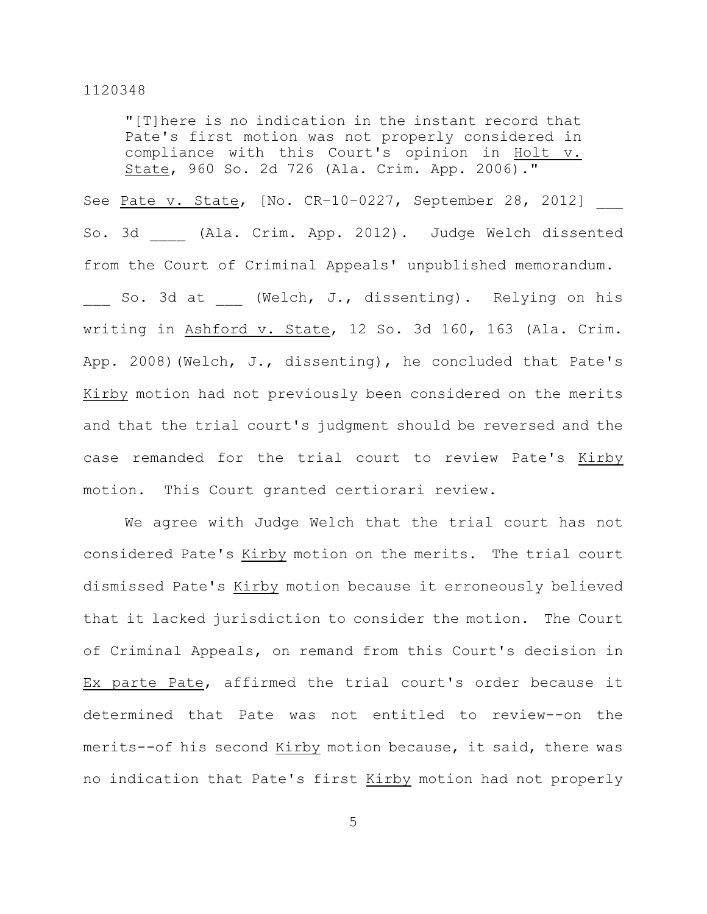"[T]here is no indication in the instant record that Pate's first motion was not properly considered in compliance with this Court's opinion in Holt v. State, 960 So. 2d 726 (Ala. Crim. App. 2006)."

See Pate v. State, [No. CR-10-0227, September 28, 2012] So. 3d \_\_\_\_ (Ala. Crim. App. 2012). Judge Welch dissented from the Court of Criminal Appeals' unpublished memorandum.

So. 3d at (Welch, J., dissenting). Relying on his writing in Ashford v. State, 12 So. 3d 160, 163 (Ala. Crim. App. 2008)(Welch, J., dissenting), he concluded that Pate's Kirby motion had not previously been considered on the merits and that the trial court's judgment should be reversed and the case remanded for the trial court to review Pate's Kirby motion. This Court granted certiorari review.

We agree with Judge Welch that the trial court has not considered Pate's Kirby motion on the merits. The trial court dismissed Pate's Kirby motion because it erroneously believed that it lacked jurisdiction to consider the motion. The Court of Criminal Appeals, on remand from this Court's decision in Ex parte Pate, affirmed the trial court's order because it determined that Pate was not entitled to review--on the merits--of his second Kirby motion because, it said, there was no indication that Pate's first Kirby motion had not properly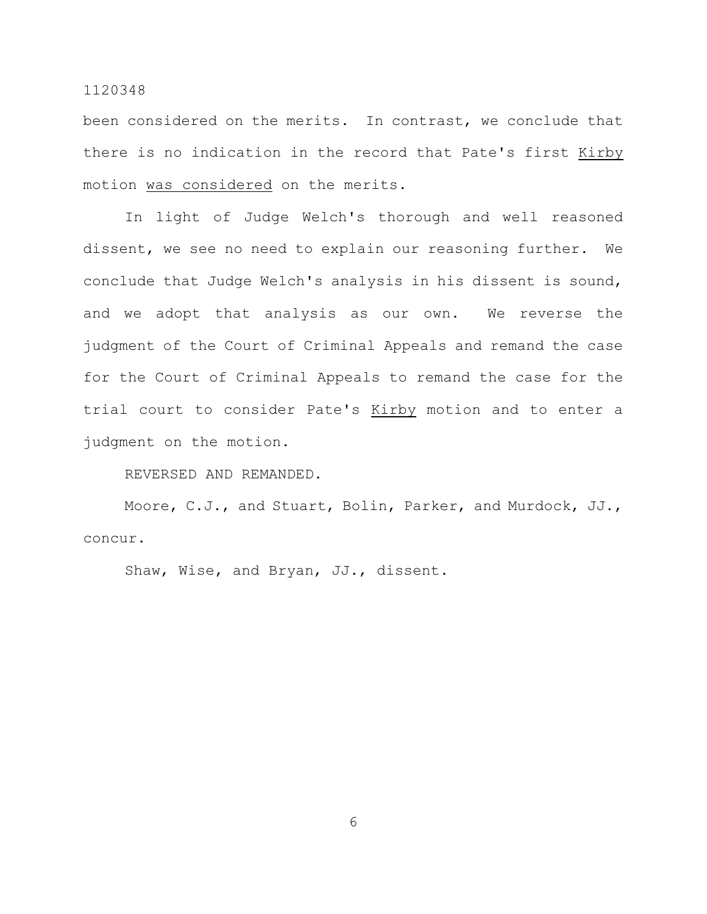been considered on the merits. In contrast, we conclude that there is no indication in the record that Pate's first Kirby motion was considered on the merits.

In light of Judge Welch's thorough and well reasoned dissent, we see no need to explain our reasoning further. We conclude that Judge Welch's analysis in his dissent is sound, and we adopt that analysis as our own. We reverse the judgment of the Court of Criminal Appeals and remand the case for the Court of Criminal Appeals to remand the case for the trial court to consider Pate's Kirby motion and to enter a judgment on the motion.

REVERSED AND REMANDED.

Moore, C.J., and Stuart, Bolin, Parker, and Murdock, JJ., concur.

Shaw, Wise, and Bryan, JJ., dissent.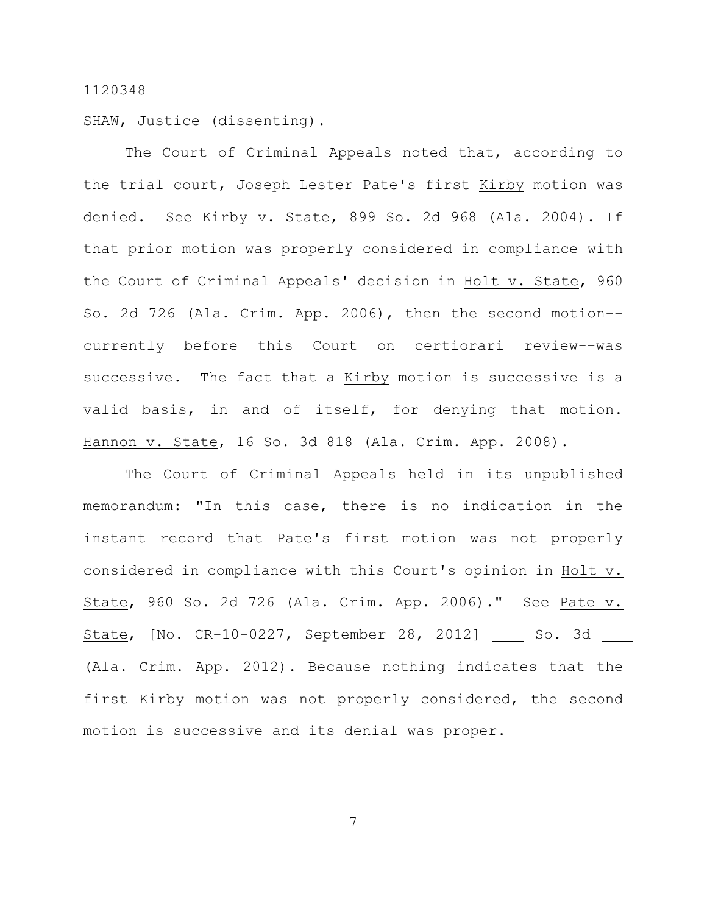SHAW, Justice (dissenting).

The Court of Criminal Appeals noted that, according to the trial court, Joseph Lester Pate's first Kirby motion was denied. See Kirby v. State, 899 So. 2d 968 (Ala. 2004). If that prior motion was properly considered in compliance with the Court of Criminal Appeals' decision in Holt v. State, 960 So. 2d 726 (Ala. Crim. App. 2006), then the second motion- currently before this Court on certiorari review--was successive. The fact that a Kirby motion is successive is a valid basis, in and of itself, for denying that motion. Hannon v. State, 16 So. 3d 818 (Ala. Crim. App. 2008).

The Court of Criminal Appeals held in its unpublished memorandum: "In this case, there is no indication in the instant record that Pate's first motion was not properly considered in compliance with this Court's opinion in Holt v. State, 960 So. 2d 726 (Ala. Crim. App. 2006)." See Pate v. State, [No. CR-10-0227, September 28, 2012] So. 3d (Ala. Crim. App. 2012). Because nothing indicates that the first Kirby motion was not properly considered, the second motion is successive and its denial was proper.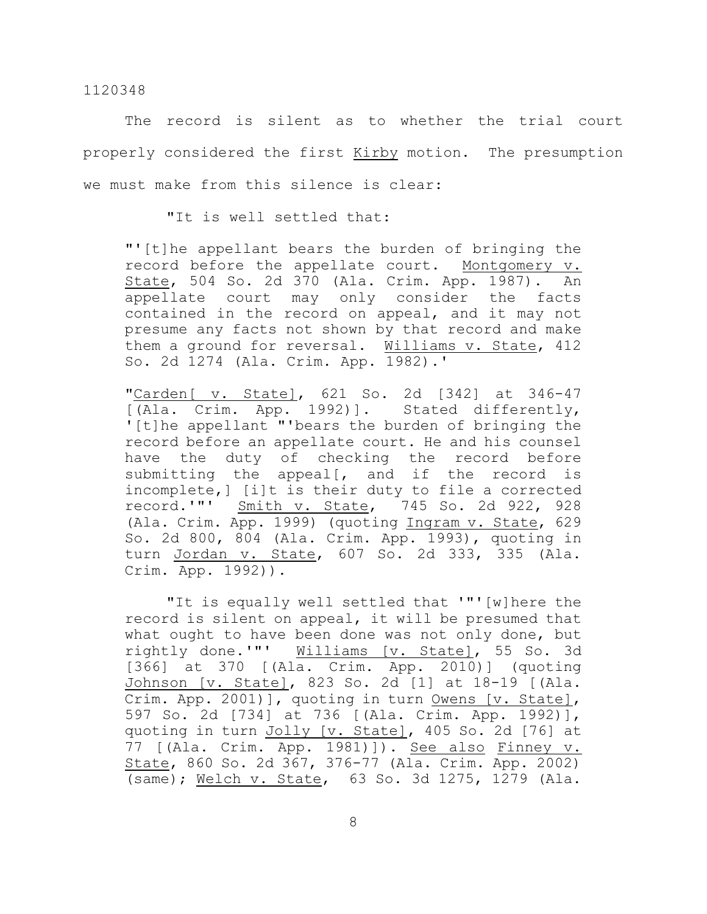The record is silent as to whether the trial court properly considered the first Kirby motion. The presumption we must make from this silence is clear:

"It is well settled that:

"'[t]he appellant bears the burden of bringing the record before the appellate court. Montgomery v. State, 504 So. 2d 370 (Ala. Crim. App. 1987). An appellate court may only consider the facts contained in the record on appeal, and it may not presume any facts not shown by that record and make them a ground for reversal. Williams v. State, 412 So. 2d 1274 (Ala. Crim. App. 1982).'

"Carden[ v. State], 621 So. 2d [342] at 346-47 [(Ala. Crim. App. 1992)]. Stated differently, '[t]he appellant "'bears the burden of bringing the record before an appellate court. He and his counsel have the duty of checking the record before submitting the appeal[, and if the record is incomplete,] [i]t is their duty to file a corrected record.'"' Smith v. State, 745 So. 2d 922, 928 (Ala. Crim. App. 1999) (quoting Ingram v. State, 629 So. 2d 800, 804 (Ala. Crim. App. 1993), quoting in turn Jordan v. State, 607 So. 2d 333, 335 (Ala. Crim. App. 1992)).

"It is equally well settled that '"'[w]here the record is silent on appeal, it will be presumed that what ought to have been done was not only done, but rightly done.'"' Williams [v. State], 55 So. 3d [366] at 370 [(Ala. Crim. App. 2010)] (quoting Johnson [v. State], 823 So. 2d [1] at 18-19 [(Ala. Crim. App. 2001)], quoting in turn Owens [v. State], 597 So. 2d [734] at 736 [(Ala. Crim. App. 1992)], quoting in turn Jolly [v. State], 405 So. 2d [76] at 77 [(Ala. Crim. App. 1981)]). See also Finney v. State, 860 So. 2d 367, 376-77 (Ala. Crim. App. 2002) (same); Welch v. State, 63 So. 3d 1275, 1279 (Ala.